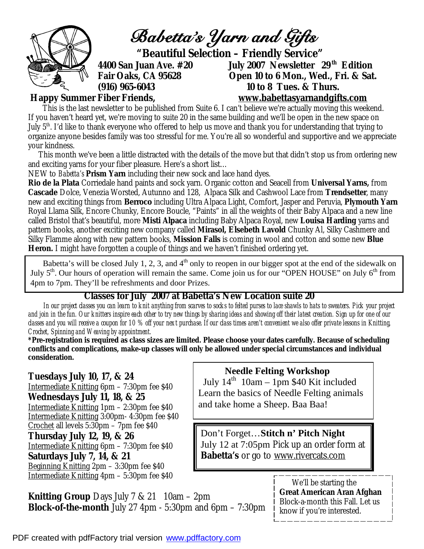

 This month we've been a little distracted with the details of the move but that didn't stop us from ordering new and exciting yarns for your fiber pleasure. Here's a short list…

NEW to *Babetta's* **Prism Yarn** including their new sock and lace hand dyes.

**Rio de la Plata** Corriedale hand paints and sock yarn. Organic cotton and Seacell from **Universal Yarns,** from **Cascade** Dolce, Venezia Worsted, Autunno and 128, Alpaca Silk and Cashwool Lace from **Trendsetter**, many new and exciting things from **Berroco** including Ultra Alpaca Light, Comfort, Jasper and Peruvia, **Plymouth Yarn**  Royal Llama Silk, Encore Chunky, Encore Boucle, "Paints" in all the weights of their Baby Alpaca and a new line called Bristol that's beautiful, more **Misti Alpaca** including Baby Alpaca Royal, new **Louisa Harding** yarns and pattern books, another exciting new company called **Mirasol, Elsebeth Lavold** Chunky Al, Silky Cashmere and Silky Flamme along with new pattern books, **Mission Falls** is coming in wool and cotton and some new **Blue Heron.** I might have forgotten a couple of things and we haven't finished ordering yet.

 Babetta's will be closed July 1, 2, 3, and  $4<sup>th</sup>$  only to reopen in our bigger spot at the end of the sidewalk on July 5<sup>th</sup>. Our hours of operation will remain the same. Come join us for our "OPEN HOUSE" on July 6<sup>th</sup> from 4pm to 7pm. They'll be refreshments and door Prizes.

## **Classes for July 2007 at Babetta's New Location suite 20**

 *In our project classes you can learn to knit anything from scarves to socks to felted purses to lace shawls to hats to sweaters. Pick your project and join in the fun. Our knitters inspire each other to try new things by sharing ideas and showing off their latest creation. Sign up for one of our classes and you will receive a coupon for 10 % off your next purchase. If our class times aren't convenient we also offer private lessons in Knitting, Crochet, Spinning and Weaving by appointment.* 

**\*Pre-registration is required as class sizes are limited. Please choose your dates carefully. Because of scheduling conflicts and complications, make-up classes will only be allowed under special circumstances and individual consideration.** 

**Tuesdays July 10, 17, & 24**  Intermediate Knitting 6pm – 7:30pm fee \$40 **Wednesdays July 11, 18, & 25**  Intermediate Knitting 1pm – 2:30pm fee \$40 Intermediate Knitting 3:00pm- 4:30pm fee \$40 Crochet all levels 5:30pm – 7pm fee \$40 **Thursday July 12, 19, & 26**  Intermediate Knitting 6pm – 7:30pm fee \$40 **Saturdays July 7, 14, & 21**  Beginning Knitting 2pm – 3:30pm fee \$40 Intermediate Knitting 4pm – 5:30pm fee \$40

July  $14^{th}$  10am – 1pm \$40 Kit included Learn the basics of Needle Felting animals

 **Needle Felting Workshop** 

and take home a Sheep. Baa Baa!

Don't Forget…**Stitch n' Pitch Night** July 12 at 7:05pm Pick up an order form at *Babetta's* or go to [www.rivercats.com](http://www.rivercats.com) 

**Knitting Group** Days July 7 & 21 10am – 2pm **Block-of-the-month** July 27 4pm - 5:30pm and 6pm – 7:30pm

 We'll be starting the **Great American Aran Afghan** Block-a-month this Fall. Let us know if you're interested.